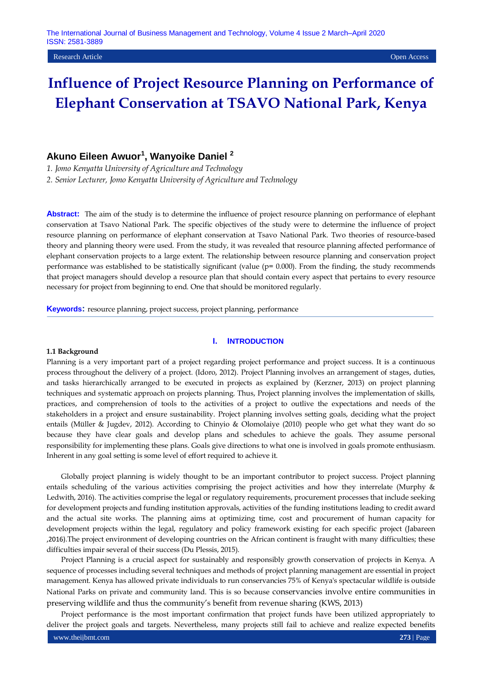#### Research Article Open Access

# **Influence of Project Resource Planning on Performance of Elephant Conservation at TSAVO National Park, Kenya**

## **Akuno Eileen Awuor<sup>1</sup> , Wanyoike Daniel <sup>2</sup>**

*1. Jomo Kenyatta University of Agriculture and Technology*

*2. Senior Lecturer, Jomo Kenyatta University of Agriculture and Technology*

**Abstract:** The aim of the study is to determine the influence of project resource planning on performance of elephant conservation at Tsavo National Park. The specific objectives of the study were to determine the influence of project resource planning on performance of elephant conservation at Tsavo National Park. Two theories of resource-based theory and planning theory were used. From the study, it was revealed that resource planning affected performance of elephant conservation projects to a large extent. The relationship between resource planning and conservation project performance was established to be statistically significant (value (p= 0.000). From the finding, the study recommends that project managers should develop a resource plan that should contain every aspect that pertains to every resource necessary for project from beginning to end. One that should be monitored regularly.

**Keywords:** resource planning, project success, project planning, performance

## **I. INTRODUCTION**

#### **1.1 Background**

Planning is a very important part of a project regarding project performance and project success. It is a continuous process throughout the delivery of a project. (Idoro, 2012). Project Planning involves an arrangement of stages, duties, and tasks hierarchically arranged to be executed in projects as explained by (Kerzner, 2013) on project planning techniques and systematic approach on projects planning. Thus, Project planning involves the implementation of skills, practices, and comprehension of tools to the activities of a project to outlive the expectations and needs of the stakeholders in a project and ensure sustainability. Project planning involves setting goals, deciding what the project entails (Müller & Jugdev, 2012). According to Chinyio & Olomolaiye (2010) people who get what they want do so because they have clear goals and develop plans and schedules to achieve the goals. They assume personal responsibility for implementing these plans. Goals give directions to what one is involved in goals promote enthusiasm. Inherent in any goal setting is some level of effort required to achieve it.

Globally project planning is widely thought to be an important contributor to project success. Project planning entails scheduling of the various activities comprising the project activities and how they interrelate (Murphy & Ledwith, 2016). The activities comprise the legal or regulatory requirements, procurement processes that include seeking for development projects and funding institution approvals, activities of the funding institutions leading to credit award and the actual site works. The planning aims at optimizing time, cost and procurement of human capacity for development projects within the legal, regulatory and policy framework existing for each specific project (Jabareen ,2016).The project environment of developing countries on the African continent is fraught with many difficulties; these difficulties impair several of their success (Du Plessis, 2015).

Project Planning is a crucial aspect for sustainably and responsibly growth conservation of projects in Kenya. A sequence of processes including several techniques and methods of project planning management are essential in project management. Kenya has allowed private individuals to run conservancies 75% of Kenya's spectacular wildlife is outside National Parks on private and community land. This is so because conservancies involve entire communities in preserving wildlife and thus the community's benefit from revenue sharing (KWS, 2013)

Project performance is the most important confirmation that project funds have been utilized appropriately to deliver the project goals and targets. Nevertheless, many projects still fail to achieve and realize expected benefits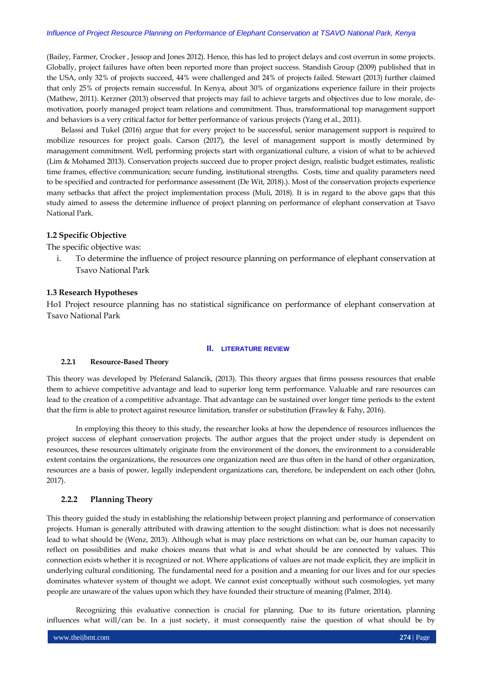## *Influence of Project Resource Planning on Performance of Elephant Conservation at TSAVO National Park, Kenya*

(Bailey, Farmer, Crocker , Jessop and Jones 2012). Hence, this has led to project delays and cost overrun in some projects. Globally, project failures have often been reported more than project success. Standish Group (2009) published that in the USA, only 32% of projects succeed, 44% were challenged and 24% of projects failed. Stewart (2013) further claimed that only 25% of projects remain successful. In Kenya, about 30% of organizations experience failure in their projects (Mathew, 2011). Kerzner (2013) observed that projects may fail to achieve targets and objectives due to low morale, demotivation, poorly managed project team relations and commitment. Thus, transformational top management support and behaviors is a very critical factor for better performance of various projects (Yang et al., 2011).

Belassi and Tukel (2016) argue that for every project to be successful, senior management support is required to mobilize resources for project goals. Carson (2017), the level of management support is mostly determined by management commitment. Well, performing projects start with organizational culture, a vision of what to be achieved (Lim & Mohamed 2013). Conservation projects succeed due to proper project design, realistic budget estimates, realistic time frames, effective communication; secure funding, institutional strengths. Costs, time and quality parameters need to be specified and contracted for performance assessment (De Wit, 2018).). Most of the conservation projects experience many setbacks that affect the project implementation process (Muli, 2018). It is in regard to the above gaps that this study aimed to assess the determine influence of project planning on performance of elephant conservation at Tsavo National Park.

## **1.2 Specific Objective**

The specific objective was:

i. To determine the influence of project resource planning on performance of elephant conservation at Tsavo National Park

#### **1.3 Research Hypotheses**

Ho1 Project resource planning has no statistical significance on performance of elephant conservation at Tsavo National Park

#### **II. LITERATURE REVIEW**

#### **2.2.1 Resource-Based Theory**

This theory was developed by Pfeferand Salancik, (2013). This theory argues that firms possess resources that enable them to achieve competitive advantage and lead to superior long term performance. Valuable and rare resources can lead to the creation of a competitive advantage. That advantage can be sustained over longer time periods to the extent that the firm is able to protect against resource limitation, transfer or substitution **(**Frawley & Fahy, 2016).

In employing this theory to this study, the researcher looks at how the dependence of resources influences the project success of elephant conservation projects. The author argues that the project under study is dependent on resources, these resources ultimately originate from the environment of the donors, the environment to a considerable extent contains the organizations, the resources one organization need are thus often in the hand of other organization, resources are a basis of power, legally independent organizations can, therefore, be independent on each other (John, 2017).

## **2.2.2 Planning Theory**

This theory guided the study in establishing the relationship between project planning and performance of conservation projects. Human is generally attributed with drawing attention to the sought distinction: what is does not necessarily lead to what should be (Wenz, 2013). Although what is may place restrictions on what can be, our human capacity to reflect on possibilities and make choices means that what is and what should be are connected by values. This connection exists whether it is recognized or not. Where applications of values are not made explicit, they are implicit in underlying cultural conditioning. The fundamental need for a position and a meaning for our lives and for our species dominates whatever system of thought we adopt. We cannot exist conceptually without such cosmologies, yet many people are unaware of the values upon which they have founded their structure of meaning (Palmer, 2014).

Recognizing this evaluative connection is crucial for planning. Due to its future orientation, planning influences what will/can be. In a just society, it must consequently raise the question of what should be by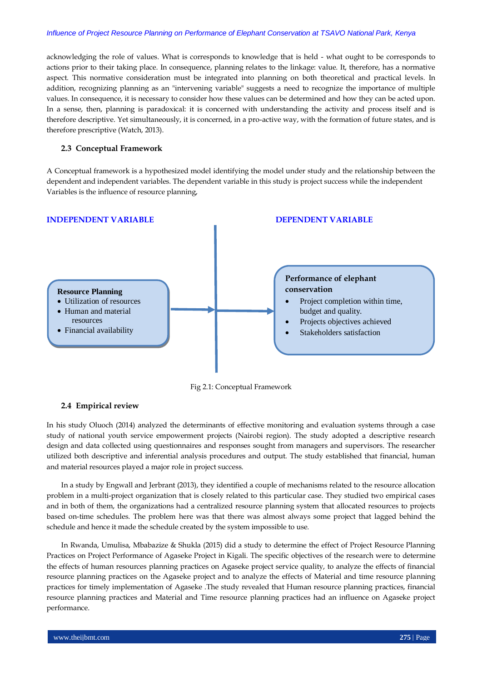## *Influence of Project Resource Planning on Performance of Elephant Conservation at TSAVO National Park, Kenya*

acknowledging the role of values. What is corresponds to knowledge that is held - what ought to be corresponds to actions prior to their taking place. In consequence, planning relates to the linkage: value. It, therefore, has a normative aspect. This normative consideration must be integrated into planning on both theoretical and practical levels. In addition, recognizing planning as an "intervening variable" suggests a need to recognize the importance of multiple values. In consequence, it is necessary to consider how these values can be determined and how they can be acted upon. In a sense, then, planning is paradoxical: it is concerned with understanding the activity and process itself and is therefore descriptive. Yet simultaneously, it is concerned, in a pro-active way, with the formation of future states, and is therefore prescriptive (Watch, 2013).

## **2.3 Conceptual Framework**

A Conceptual framework is a hypothesized model identifying the model under study and the relationship between the dependent and independent variables. The dependent variable in this study is project success while the independent Variables is the influence of resource planning,



Fig 2.1: Conceptual Framework

## **2.4 Empirical review**

In his study Oluoch (2014) analyzed the determinants of effective monitoring and evaluation systems through a case study of national youth service empowerment projects (Nairobi region). The study adopted a descriptive research design and data collected using questionnaires and responses sought from managers and supervisors. The researcher utilized both descriptive and inferential analysis procedures and output. The study established that financial, human and material resources played a major role in project success.

In a study by Engwall and Jerbrant (2013), they identified a couple of mechanisms related to the resource allocation problem in a multi-project organization that is closely related to this particular case. They studied two empirical cases and in both of them, the organizations had a centralized resource planning system that allocated resources to projects based on-time schedules. The problem here was that there was almost always some project that lagged behind the schedule and hence it made the schedule created by the system impossible to use.

In Rwanda, Umulisa, Mbabazize & Shukla (2015) did a study to determine the effect of Project Resource Planning Practices on Project Performance of Agaseke Project in Kigali. The specific objectives of the research were to determine the effects of human resources planning practices on Agaseke project service quality, to analyze the effects of financial resource planning practices on the Agaseke project and to analyze the effects of Material and time resource planning practices for timely implementation of Agaseke .The study revealed that Human resource planning practices, financial resource planning practices and Material and Time resource planning practices had an influence on Agaseke project performance.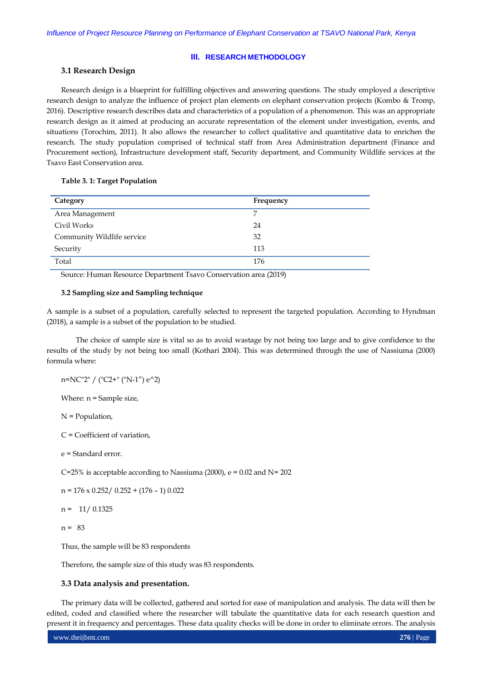## **III. RESEARCH METHODOLOGY**

## **3.1 Research Design**

Research design is a blueprint for fulfilling objectives and answering questions. The study employed a descriptive research design to analyze the influence of project plan elements on elephant conservation projects (Kombo & Tromp, 2016). Descriptive research describes data and characteristics of a population of a phenomenon. This was an appropriate research design as it aimed at producing an accurate representation of the element under investigation, events, and situations (Torochim, 2011). It also allows the researcher to collect qualitative and quantitative data to enrichen the research. The study population comprised of technical staff from Area Administration department (Finance and Procurement section), Infrastructure development staff, Security department, and Community Wildlife services at the Tsavo East Conservation area.

## **Table 3. 1: Target Population**

| Category                   | Frequency |
|----------------------------|-----------|
| Area Management            | 7         |
| Civil Works                | 24        |
| Community Wildlife service | 32        |
| Security                   | 113       |
| Total                      | 176       |

Source: Human Resource Department Tsavo Conservation area (2019)

#### **3.2 Sampling size and Sampling technique**

A sample is a subset of a population, carefully selected to represent the targeted population. According to Hyndman (2018), a sample is a subset of the population to be studied.

The choice of sample size is vital so as to avoid wastage by not being too large and to give confidence to the results of the study by not being too small (Kothari 2004). This was determined through the use of Nassiuma (2000) formula where:

n=NC"2" / ("C2+" ("N-1") e^2)

Where: n = Sample size,

N = Population,

C = Coefficient of variation,

e = Standard error.

C=25% is acceptable according to Nassiuma (2000), e = 0.02 and N= 202

 $n = 176 \times 0.252 / 0.252 + (176 - 1) 0.022$ 

 $n = 11/0.1325$ 

 $n = 83$ 

Thus, the sample will be 83 respondents

Therefore, the sample size of this study was 83 respondents.

## **3.3 Data analysis and presentation.**

The primary data will be collected, gathered and sorted for ease of manipulation and analysis. The data will then be edited, coded and classified where the researcher will tabulate the quantitative data for each research question and present it in frequency and percentages. These data quality checks will be done in order to eliminate errors. The analysis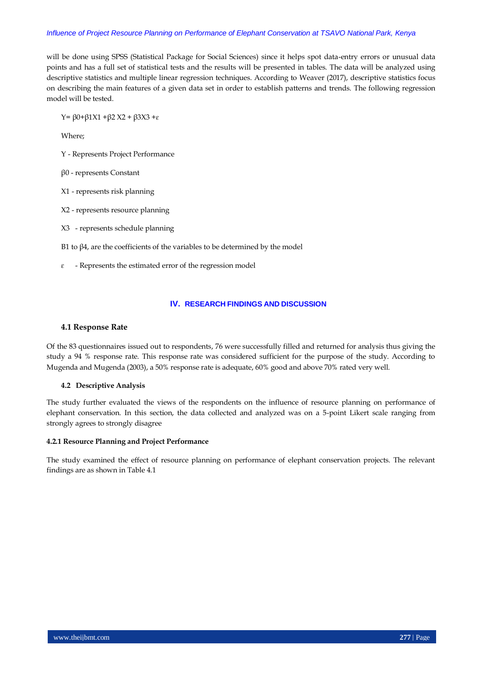## *Influence of Project Resource Planning on Performance of Elephant Conservation at TSAVO National Park, Kenya*

will be done using SPSS (Statistical Package for Social Sciences) since it helps spot data-entry errors or unusual data points and has a full set of statistical tests and the results will be presented in tables. The data will be analyzed using descriptive statistics and multiple linear regression techniques. According to Weaver (2017), descriptive statistics focus on describing the main features of a given data set in order to establish patterns and trends. The following regression model will be tested.

Y= β0+β1X1 +β2 X2 + β3X3 +ɛ

Where;

- Y Represents Project Performance
- β0 represents Constant
- X1 represents risk planning
- X2 represents resource planning
- X3 represents schedule planning
- Β1 to β4, are the coefficients of the variables to be determined by the model
- $\epsilon$  Represents the estimated error of the regression model

## **IV. RESEARCH FINDINGS AND DISCUSSION**

## **4.1 Response Rate**

Of the 83 questionnaires issued out to respondents, 76 were successfully filled and returned for analysis thus giving the study a 94 % response rate. This response rate was considered sufficient for the purpose of the study. According to Mugenda and Mugenda (2003), a 50% response rate is adequate, 60% good and above 70% rated very well.

## **4.2 Descriptive Analysis**

The study further evaluated the views of the respondents on the influence of resource planning on performance of elephant conservation. In this section, the data collected and analyzed was on a 5-point Likert scale ranging from strongly agrees to strongly disagree

## **4.2.1 Resource Planning and Project Performance**

The study examined the effect of resource planning on performance of elephant conservation projects. The relevant findings are as shown in Table 4.1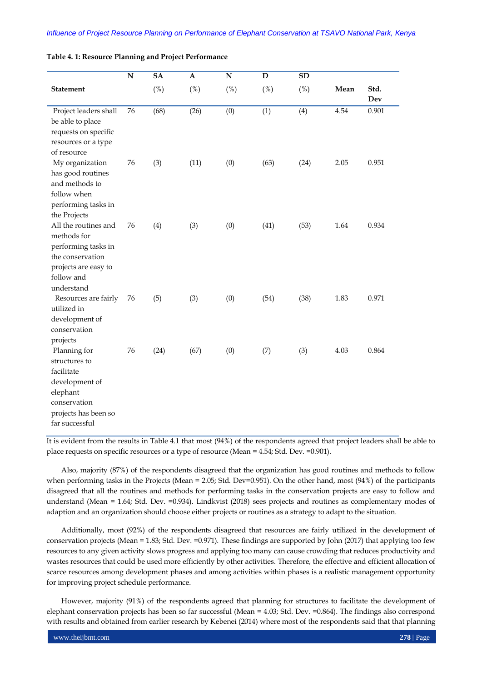|  |  |  |  |  |  |  | Table 4. 1: Resource Planning and Project Performance |
|--|--|--|--|--|--|--|-------------------------------------------------------|
|--|--|--|--|--|--|--|-------------------------------------------------------|

|                                                                                                                                     | ${\bf N}$ | <b>SA</b> | $\mathbf{A}$ | ${\bf N}$ | D    | ${\bf SD}$ |      |             |
|-------------------------------------------------------------------------------------------------------------------------------------|-----------|-----------|--------------|-----------|------|------------|------|-------------|
| <b>Statement</b>                                                                                                                    |           | (%)       | (%)          | (%)       | (%)  | (%)        | Mean | Std.<br>Dev |
| Project leaders shall<br>be able to place<br>requests on specific<br>resources or a type<br>of resource                             | 76        | (68)      | (26)         | (0)       | (1)  | (4)        | 4.54 | 0.901       |
| My organization<br>has good routines<br>and methods to<br>follow when<br>performing tasks in<br>the Projects                        | 76        | (3)       | (11)         | (0)       | (63) | (24)       | 2.05 | 0.951       |
| All the routines and<br>methods for<br>performing tasks in<br>the conservation<br>projects are easy to<br>follow and<br>understand  | 76        | (4)       | (3)          | (0)       | (41) | (53)       | 1.64 | 0.934       |
| Resources are fairly<br>utilized in<br>development of<br>conservation<br>projects                                                   | 76        | (5)       | (3)          | (0)       | (54) | (38)       | 1.83 | 0.971       |
| Planning for<br>structures to<br>facilitate<br>development of<br>elephant<br>conservation<br>projects has been so<br>far successful | 76        | (24)      | (67)         | (0)       | (7)  | (3)        | 4.03 | 0.864       |

It is evident from the results in Table 4.1 that most (94%) of the respondents agreed that project leaders shall be able to place requests on specific resources or a type of resource (Mean = 4.54; Std. Dev. =0.901).

Also, majority (87%) of the respondents disagreed that the organization has good routines and methods to follow when performing tasks in the Projects (Mean = 2.05; Std. Dev=0.951). On the other hand, most (94%) of the participants disagreed that all the routines and methods for performing tasks in the conservation projects are easy to follow and understand (Mean = 1.64; Std. Dev. =0.934). Lindkvist (2018) sees projects and routines as complementary modes of adaption and an organization should choose either projects or routines as a strategy to adapt to the situation.

Additionally, most (92%) of the respondents disagreed that resources are fairly utilized in the development of conservation projects (Mean = 1.83; Std. Dev. =  $0.971$ ). These findings are supported by John (2017) that applying too few resources to any given activity slows progress and applying too many can cause crowding that reduces productivity and wastes resources that could be used more efficiently by other activities. Therefore, the effective and efficient allocation of scarce resources among development phases and among activities within phases is a realistic management opportunity for improving project schedule performance.

However, majority (91%) of the respondents agreed that planning for structures to facilitate the development of elephant conservation projects has been so far successful (Mean = 4.03; Std. Dev. =0.864). The findings also correspond with results and obtained from earlier research by Kebenei (2014) where most of the respondents said that that planning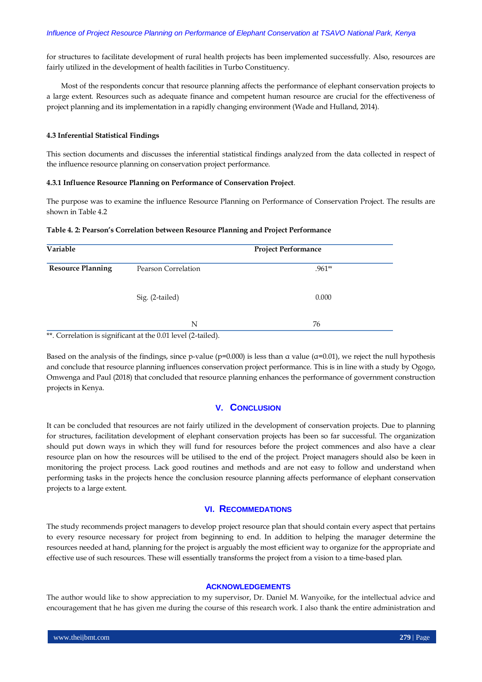for structures to facilitate development of rural health projects has been implemented successfully. Also, resources are fairly utilized in the development of health facilities in Turbo Constituency.

Most of the respondents concur that resource planning affects the performance of elephant conservation projects to a large extent. Resources such as adequate finance and competent human resource are crucial for the effectiveness of project planning and its implementation in a rapidly changing environment (Wade and Hulland, 2014).

#### **4.3 Inferential Statistical Findings**

This section documents and discusses the inferential statistical findings analyzed from the data collected in respect of the influence resource planning on conservation project performance.

## **4.3.1 Influence Resource Planning on Performance of Conservation Project**.

The purpose was to examine the influence Resource Planning on Performance of Conservation Project. The results are shown in Table 4.2

## **Table 4. 2: Pearson's Correlation between Resource Planning and Project Performance**

| Variable                 |                     | <b>Project Performance</b> |  |  |
|--------------------------|---------------------|----------------------------|--|--|
| <b>Resource Planning</b> | Pearson Correlation | $.961**$                   |  |  |
|                          | Sig. (2-tailed)     | 0.000                      |  |  |
|                          | N                   | 76                         |  |  |

\*\*. Correlation is significant at the 0.01 level (2-tailed).

Based on the analysis of the findings, since p-value ( $p=0.000$ ) is less than  $\alpha$  value ( $\alpha=0.01$ ), we reject the null hypothesis and conclude that resource planning influences conservation project performance. This is in line with a study by Ogogo, Omwenga and Paul (2018) that concluded that resource planning enhances the performance of government construction projects in Kenya.

## **V. CONCLUSION**

It can be concluded that resources are not fairly utilized in the development of conservation projects. Due to planning for structures, facilitation development of elephant conservation projects has been so far successful. The organization should put down ways in which they will fund for resources before the project commences and also have a clear resource plan on how the resources will be utilised to the end of the project. Project managers should also be keen in monitoring the project process. Lack good routines and methods and are not easy to follow and understand when performing tasks in the projects hence the conclusion resource planning affects performance of elephant conservation projects to a large extent.

## **VI. RECOMMEDATIONS**

The study recommends project managers to develop project resource plan that should contain every aspect that pertains to every resource necessary for project from beginning to end. In addition to helping the manager determine the resources needed at hand, planning for the project is arguably the most efficient way to organize for the appropriate and effective use of such resources. These will essentially transforms the project from a vision to a time-based plan.

#### **ACKNOWLEDGEMENTS**

The author would like to show appreciation to my supervisor, Dr. Daniel M. Wanyoike, for the intellectual advice and encouragement that he has given me during the course of this research work. I also thank the entire administration and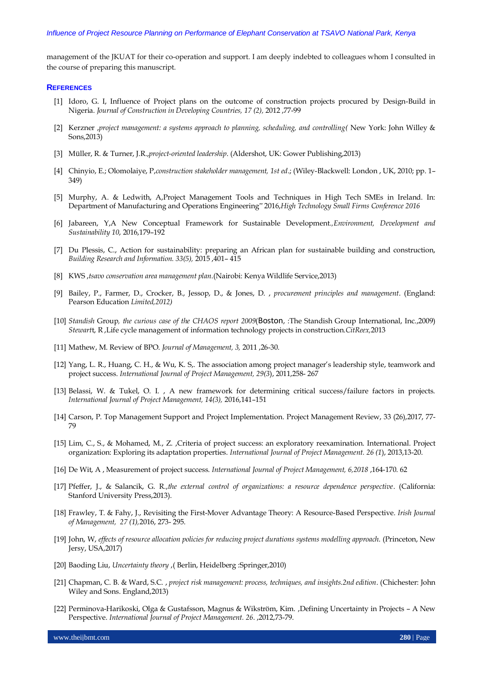management of the JKUAT for their co-operation and support. I am deeply indebted to colleagues whom I consulted in the course of preparing this manuscript.

#### **REFERENCES**

- [1] Idoro, G. I, Influence of Project plans on the outcome of construction projects procured by Design-Build in Nigeria. *Journal of Construction in Developing Countries, 17 (2),* 2012 ,77-99
- [2] Kerzner ,*project management: a systems approach to planning, scheduling, and controlling(* New York: John Willey & Sons,2013)
- [3] Müller, R. & Turner, J.R.,*project-oriented leadership*. (Aldershot, UK: Gower Publishing,2013)
- [4] Chinyio, E.; Olomolaiye, P,*construction stakeholder management, 1st ed*.; (Wiley-Blackwell: London , UK, 2010; pp. 1– 349)
- [5] Murphy, A. & Ledwith, A,Project Management Tools and Techniques in High Tech SMEs in Ireland. In: Department of Manufacturing and Operations Engineering" 2016,*High Technology Small Firms Conference 2016*
- [6] Jabareen, Y,A New Conceptual Framework for Sustainable Development*.,Environment, Development and Sustainability 10*, 2016,179–192
- [7] Du Plessis, C., Action for sustainability: preparing an African plan for sustainable building and construction, *Building Research and Information. 33(5),* 2015 ,401– 415
- [8] KWS ,*tsavo conservation area management plan*.(Nairobi: Kenya Wildlife Service,2013)
- [9] Bailey, P., Farmer, D., Crocker, B., Jessop, D., & Jones, D. , *procurement principles and management*. (England: Pearson Education *Limited,2012)*
- [10] *Standish* Group*, the curious case of the CHAOS report 2009*(Boston, :The Standish Group International, Inc.,2009) *Stewart*t, R ,Life cycle management of information technology projects in construction.*CitReex,*2013
- [11] Mathew, M. Review of BPO. *Journal of Management, 3,* 2011 ,26-30.
- [12] Yang, L. R., Huang, C. H., & Wu, K. S,. The association among project manager's leadership style, teamwork and project success. *International Journal of Project Management, 29(3*), 2011,258- 267
- [13] Belassi, W. & Tukel, O. I. , A new framework for determining critical success/failure factors in projects. *International Journal of Project Management, 14(3),* 2016,141–151
- [14] Carson, P. Top Management Support and Project Implementation. Project Management Review, 33 (26),2017, 77- 79
- [15] Lim, C., S., & Mohamed, M., Z., Criteria of project success: an exploratory reexamination. International. Project organization: Exploring its adaptation properties. *International Journal of Project Management. 26 (1*), 2013,13-20.
- [16] De Wit, A , Measurement of project success. *International Journal of Project Management, 6,2018* ,164-170. 62
- [17] Pfeffer, J., & Salancik, G. R.,*the external control of organizations: a resource dependence perspective*. (California: Stanford University Press,2013).
- [18] Frawley, T. & Fahy, J., Revisiting the First-Mover Advantage Theory: A Resource-Based Perspective. *Irish Journal of Management, 27 (1),*2016, 273- 295.
- [19] John, W, *effects of resource allocation policies for reducing project durations systems modelling approach*. (Princeton, New Jersy, USA,2017)
- [20] Baoding Liu, *Uncertainty theory* ,( Berlin, Heidelberg :Springer,2010)
- [21] Chapman, C. B. & Ward, S.C. , *project risk management: process, techniques, and insights.2nd edition*. (Chichester: John Wiley and Sons. England,2013)
- [22] Perminova-Harikoski, Olga & Gustafsson, Magnus & Wikström, Kim. ,Defining Uncertainty in Projects A New Perspective. *International Journal of Project Management. 26*. ,2012,73-79.